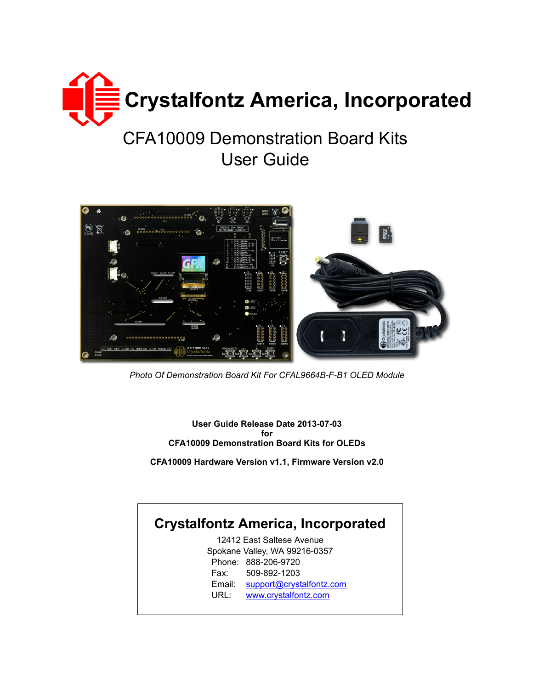

# CFA10009 Demonstration Board Kits User Guide



*Photo Of Demonstration Board Kit For CFAL9664B-F-B1 OLED Module*

**User Guide Release Date 2013-07-03 for CFA10009 Demonstration Board Kits for OLEDs**

**CFA10009 Hardware Version v1.1, Firmware Version v2.0**

## **Crystalfontz America, Incorporated**

12412 East Saltese Avenue Spokane Valley, WA 99216-0357 Phone: 888-206-9720 Fax: 509-892-1203 Email: [support@crystalfontz.com](mailto:support@crystalfontz.com) URL: [www.crystalfontz.com](http://www.crystalfontz.com)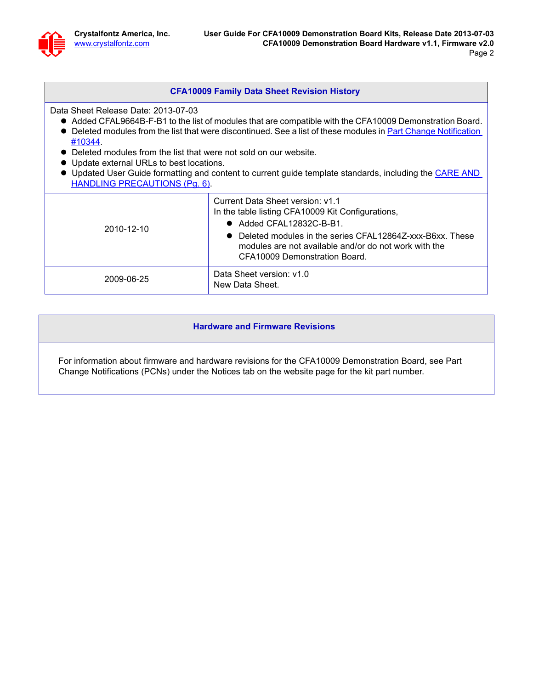#### **CFA10009 Family Data Sheet Revision History**

Data Sheet Release Date: 2013-07-03

- Added CFAL9664B-F-B1 to the list of modules that are compatible with the CFA10009 Demonstration Board.
- Deleted modules from the list that were discontinued. See a list of these modules in Part Change Notification [#10344](https://www.crystalfontz.com/news/pcn.php?id=10344).
- Deleted modules from the list that were not sold on our website.
- Update external URLs to best locations.
- Updated User Guide formatting and content to current guide template standards, including the CARE AND [HANDLING PRECAUTIONS \(Pg. 6\)](#page-5-0).

| 2010-12-10 | Current Data Sheet version: v1.1<br>In the table listing CFA10009 Kit Configurations,<br>$\bullet$ Added CFAL12832C-B-B1.<br>$\bullet$ Deleted modules in the series CFAL12864Z-xxx-B6xx. These<br>modules are not available and/or do not work with the<br>CFA10009 Demonstration Board. |  |
|------------|-------------------------------------------------------------------------------------------------------------------------------------------------------------------------------------------------------------------------------------------------------------------------------------------|--|
| 2009-06-25 | Data Sheet version: v1.0<br>New Data Sheet.                                                                                                                                                                                                                                               |  |

#### **Hardware and Firmware Revisions**

For information about firmware and hardware revisions for the CFA10009 Demonstration Board, see Part Change Notifications (PCNs) under the Notices tab on the website page for the kit part number.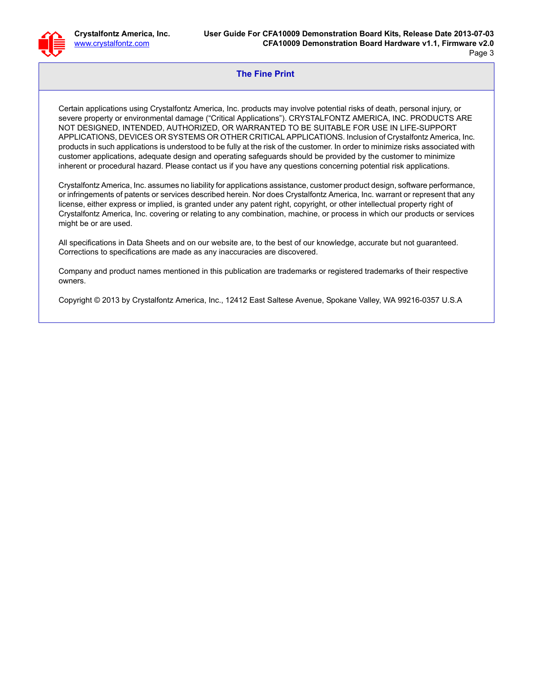#### **The Fine Print**

Certain applications using Crystalfontz America, Inc. products may involve potential risks of death, personal injury, or severe property or environmental damage ("Critical Applications"). CRYSTALFONTZ AMERICA, INC. PRODUCTS ARE NOT DESIGNED, INTENDED, AUTHORIZED, OR WARRANTED TO BE SUITABLE FOR USE IN LIFE-SUPPORT APPLICATIONS, DEVICES OR SYSTEMS OR OTHER CRITICAL APPLICATIONS. Inclusion of Crystalfontz America, Inc. products in such applications is understood to be fully at the risk of the customer. In order to minimize risks associated with customer applications, adequate design and operating safeguards should be provided by the customer to minimize inherent or procedural hazard. Please contact us if you have any questions concerning potential risk applications.

Crystalfontz America, Inc. assumes no liability for applications assistance, customer product design, software performance, or infringements of patents or services described herein. Nor does Crystalfontz America, Inc. warrant or represent that any license, either express or implied, is granted under any patent right, copyright, or other intellectual property right of Crystalfontz America, Inc. covering or relating to any combination, machine, or process in which our products or services might be or are used.

All specifications in Data Sheets and on our website are, to the best of our knowledge, accurate but not guaranteed. Corrections to specifications are made as any inaccuracies are discovered.

Company and product names mentioned in this publication are trademarks or registered trademarks of their respective owners.

Copyright © 2013 by Crystalfontz America, Inc., 12412 East Saltese Avenue, Spokane Valley, WA 99216-0357 U.S.A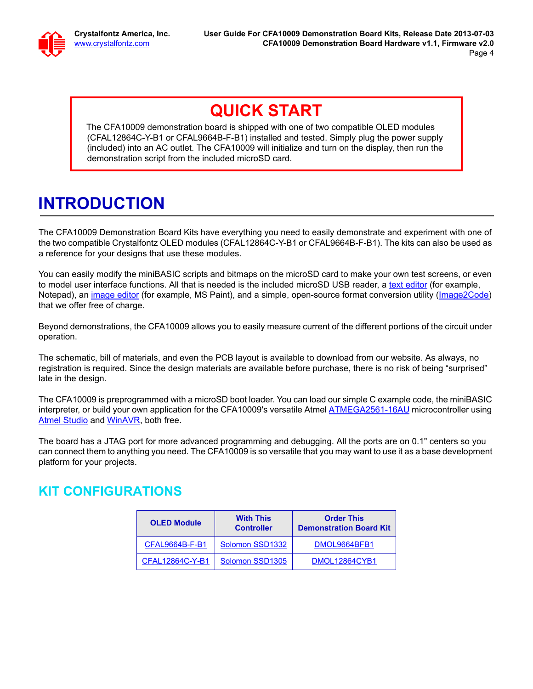# **QUICK START**

The CFA10009 demonstration board is shipped with one of two compatible OLED modules (CFAL12864C-Y-B1 or CFAL9664B-F-B1) installed and tested. Simply plug the power supply (included) into an AC outlet. The CFA10009 will initialize and turn on the display, then run the demonstration script from the included microSD card.

# **INTRODUCTION**

The CFA10009 Demonstration Board Kits have everything you need to easily demonstrate and experiment with one of the two compatible Crystalfontz OLED modules (CFAL12864C-Y-B1 or CFAL9664B-F-B1). The kits can also be used as a reference for your designs that use these modules.

You can easily modify the miniBASIC scripts and bitmaps on the microSD card to make your own test screens, or even to model user interface functions. All that is needed is the included microSD USB reader, a [text editor](http://en.wikipedia.org/wiki/Comparison_of_text_editors) (for example, Notepad), an *image editor* (for example, MS Paint), and a simple, open-source format conversion utility (*Image2Code*) that we offer free of charge.

Beyond demonstrations, the CFA10009 allows you to easily measure current of the different portions of the circuit under operation.

The schematic, bill of materials, and even the PCB layout is available to download from our website. As always, no registration is required. Since the design materials are available before purchase, there is no risk of being "surprised" late in the design.

The CFA10009 is preprogrammed with a microSD boot loader. You can load our simple C example code, the miniBASIC interpreter, or build your own application for the CFA10009's versatile Atmel **ATMEGA2561-16AU** microcontroller using [Atmel Studio](http://www.atmel.com/dyn/Products/tools_card.asp?tool_id=2725) and [WinAVR,](http://sourceforge.net/projects/winavr/) both free.

The board has a JTAG port for more advanced programming and debugging. All the ports are on 0.1" centers so you can connect them to anything you need. The CFA10009 is so versatile that you may want to use it as a base development platform for your projects.

### **KIT CONFIGURATIONS**

| <b>OLED Module</b> | <b>With This</b><br><b>Controller</b> | <b>Order This</b><br><b>Demonstration Board Kit</b> |
|--------------------|---------------------------------------|-----------------------------------------------------|
| CFAL9664B-F-B1     | Solomon SSD1332                       | DMOL9664BFB1                                        |
| CFAL12864C-Y-B1    | Solomon SSD1305                       | DMOL12864CYB1                                       |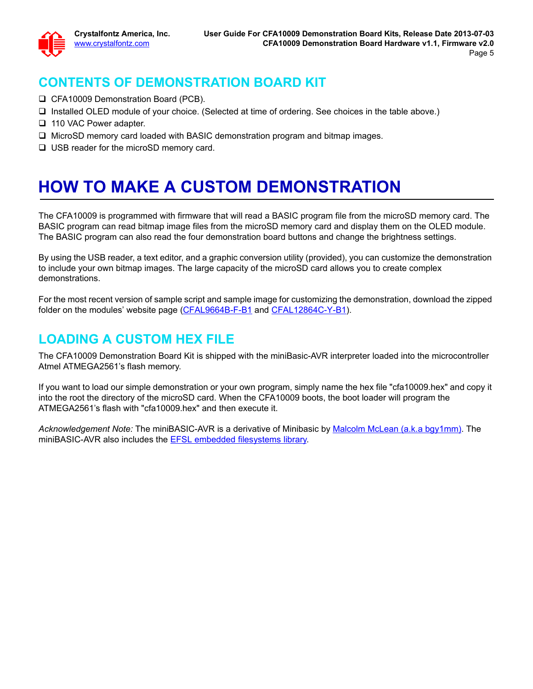### **CONTENTS OF DEMONSTRATION BOARD KIT**

- CFA10009 Demonstration Board (PCB).
- □ Installed OLED module of your choice. (Selected at time of ordering. See choices in the table above.)
- □ 110 VAC Power adapter.
- $\Box$  MicroSD memory card loaded with BASIC demonstration program and bitmap images.
- □ USB reader for the microSD memory card.

# **HOW TO MAKE A CUSTOM DEMONSTRATION**

The CFA10009 is programmed with firmware that will read a BASIC program file from the microSD memory card. The BASIC program can read bitmap image files from the microSD memory card and display them on the OLED module. The BASIC program can also read the four demonstration board buttons and change the brightness settings.

By using the USB reader, a text editor, and a graphic conversion utility (provided), you can customize the demonstration to include your own bitmap images. The large capacity of the microSD card allows you to create complex demonstrations.

For the most recent version of sample script and sample image for customizing the demonstration, download the zipped folder on the modules' website page [\(CFAL9664B-F-B1](http://www.crystalfontz.com/product/CFAL9664BFB1#docs) and [CFAL12864C-Y-B1](http://www.crystalfontz.com/product/CFAL12864CYB1#docs)).

### **LOADING A CUSTOM HEX FILE**

The CFA10009 Demonstration Board Kit is shipped with the miniBasic-AVR interpreter loaded into the microcontroller Atmel ATMEGA2561's flash memory.

If you want to load our simple demonstration or your own program, simply name the hex file "cfa10009.hex" and copy it into the root the directory of the microSD card. When the CFA10009 boots, the boot loader will program the ATMEGA2561's flash with "cfa10009.hex" and then execute it.

*Acknowledgement Note:* The miniBASIC-AVR is a derivative of Minibasic by [Malcolm McLean \(a.k.a bgy1mm\)](http://www.lulu.com/spotlight/bgy1mm). The miniBASIC-AVR also includes the **EFSL embedded filesystems library**.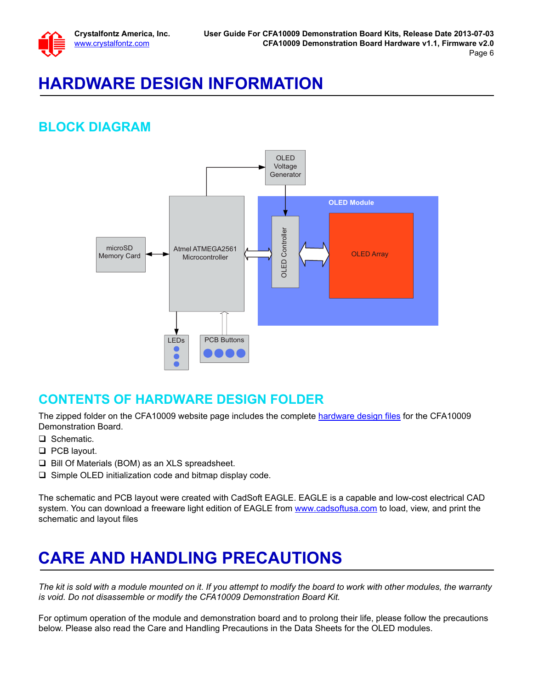

# **HARDWARE DESIGN INFORMATION**

## **BLOCK DIAGRAM**



#### **CONTENTS OF HARDWARE DESIGN FOLDER**

The zipped folder on the CFA10009 website page includes the complete [hardware design files](http://www.crystalfontz.com/product/CFA10009.html#docs) for the CFA10009 Demonstration Board.

- □ Schematic.
- **Q** PCB layout.
- $\Box$  Bill Of Materials (BOM) as an XLS spreadsheet.
- $\square$  Simple OLED initialization code and bitmap display code.

The schematic and PCB layout were created with CadSoft EAGLE. EAGLE is a capable and low-cost electrical CAD system. You can download a freeware light edition of EAGLE from <www.cadsoftusa.com> to load, view, and print the schematic and layout files

# <span id="page-5-0"></span>**CARE AND HANDLING PRECAUTIONS**

*The kit is sold with a module mounted on it. If you attempt to modify the board to work with other modules, the warranty is void. Do not disassemble or modify the CFA10009 Demonstration Board Kit.* 

For optimum operation of the module and demonstration board and to prolong their life, please follow the precautions below. Please also read the Care and Handling Precautions in the Data Sheets for the OLED modules.